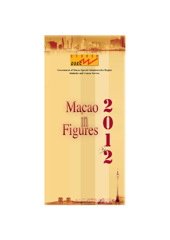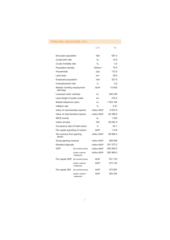# <span id="page-1-0"></span>PRINCIPAL INDICATORS, 2011

|                                       |                           | Unit                 | No.       |
|---------------------------------------|---------------------------|----------------------|-----------|
| End-year population                   |                           | '000                 | 557.4     |
| Crude birth rate                      |                           | $\%$                 | 10.6      |
| Crude mortality rate                  |                           | $\%$                 | 3.4       |
| Population density                    |                           | '000/km <sup>2</sup> | 18.4      |
| Households                            |                           | 000'                 | 172.6     |
| Land area                             |                           | km <sup>2</sup>      | 29.9      |
| Employed population                   |                           | 000'                 | 327.6     |
| Unemployment rate                     |                           | $\%$                 | 2.6       |
| Median monthly employment<br>earnings |                           | <b>MOP</b>           | 10 000    |
| Licensed motor vehicles               |                           | no.                  | 206 349   |
| Lane length of public roads           |                           | km                   | 416.0     |
| Mobile telephone users                |                           | no.                  | 1 353 194 |
| Inflation rate                        |                           | $\frac{0}{0}$        | 5.81      |
| Value of merchandise exports          |                           | million MOP          | 6970.9    |
| Value of merchandise imports          |                           | million MOP          | 62 288.9  |
| <b>MICE</b> events                    |                           | no.                  | 1045      |
| Visitor arrivals                      |                           | 000'                 | 28 002.3  |
| Occupancy rate of hotel sector        |                           | $\frac{0}{0}$        | 84.1      |
| Per-capita spending of visitors       |                           | <b>MOP</b>           | 1619      |
| Tax revenue from gaming<br>sector     |                           | million MOP          | 99 656.4  |
| Gross gaming revenue                  |                           | million MOP          | 269 058   |
| Resident deposits                     |                           | million MOP          | 291 573.2 |
| GDP                                   | (at current price)        | million MOP          | 292 090.5 |
|                                       | (chain volume<br>measure) | million MOP          | 260 999.0 |
| Per-capita GDP                        | (at current price)        | MOP                  | 531723    |
|                                       | (chain volume<br>measure) | <b>MOP</b>           | 475 123   |
| Per-capita GNI                        | (at current price)        | MOP                  | 375 897   |
|                                       | (chain volume<br>measure) | <b>MOP</b>           | 360 204   |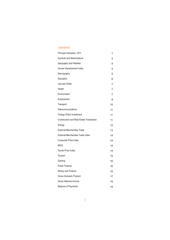#### CONTENTS

| Principal Indicators, 2011                      | 1  |
|-------------------------------------------------|----|
| Symbols and Abbreviations                       | 3  |
| Geography and Weather                           | 4  |
| Human Development Index                         | 4  |
| Demography                                      | 5  |
| Education                                       | 6  |
| Law and Order                                   | 7  |
| Health                                          | 7  |
| Environment                                     | 7  |
| Employment                                      | 8  |
| Transport                                       | 10 |
| Telecommunications                              | 11 |
| Foreign Direct Investment                       | 11 |
| <b>Construction and Real Estate Transaction</b> | 11 |
| Energy                                          | 12 |
| External Merchandise Trade                      | 13 |
| External Merchandise Trade Index                | 14 |
| <b>Consumer Price Index</b>                     | 14 |
| <b>MICE</b>                                     | 14 |
| <b>Tourist Price Index</b>                      | 14 |
| Tourism                                         | 15 |
| Gaming                                          | 16 |
| <b>Public Finance</b>                           | 16 |
| Money and Finance                               | 16 |
| <b>Gross Domestic Product</b>                   | 17 |
| <b>Gross National Income</b>                    | 19 |
| <b>Balance of Payments</b>                      | 19 |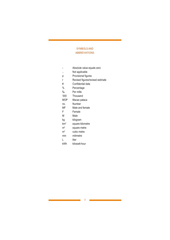### <span id="page-3-0"></span>SYMBOLS AND ABBREVIATIONS

- Absolute value equals zero .. Not applicable p Provisional figures r Revised figures/revised estimate # Confidential data % Percentage ‰ Per mille '000 Thousand MOP Macao pataca no. Number MF Male and female F Female M Male kg kilogram km2 square kilometre m<sup>2</sup> square metre m<sup>3</sup> cubic metre mm milimetre L liter kWh kilowatt-hour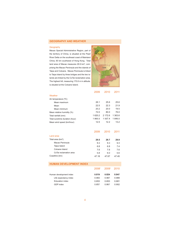#### <span id="page-4-0"></span>**GEOGRAPHY AND WEATHER**

#### Geography

Macao Special Administrative Region, part of the territory of China, is situated at the Pearl River Delta on the southeast coast of Mainland China, 60 km southwest of Hong Kong. Total land area of Macao measures 29.9 km², comprising the Macao Peninsula and the islands of Taipa and Coloane. Macao Peninsula is linked to Taipa Island by three bridges and the two islands are linked by the CoTai reclamation area. The highest hill, measuring 170.6 m in altitude, is situated at the Coloane Island.



|                                | 2009   | 2010    | 2011    |
|--------------------------------|--------|---------|---------|
| Weather                        |        |         |         |
| Air temperature (°C)           |        |         |         |
| Mean maximum                   | 26.1   | 25.6    | 25.6    |
| Mean                           | 22.5   | 22.3    | 21.9    |
| Mean minimum                   | 20.2   | 20.0    | 19.5    |
| Mean relative humidity (%)     | 72.0   | 80.0    | 76.0    |
| Total rainfall (mm)            | 1620.2 | 2 172.6 | 1 363.6 |
| Total sunshine duration (hour) | 1865.5 | 1 557.4 | 1846.0  |
| Mean wind speed (km/hour)      | 12.5   | 12.2    | 13.2    |
|                                |        |         |         |
|                                | 2009   | 2010    | 2011    |
| Land area                      |        |         |         |
| Total area (km <sup>2</sup> )  | 29.5   | 29.7    | 29.9    |
| Macao Peninsula                | 9.3    | 9.3     | 9.3     |
| Taipa Island                   | 68     | 68      | 74      |
| Coloane Island                 | 76     | 76      | 76      |
| CoTai reclamation area         | 5.8    | 6.0     | 5.6     |
| Coastline (km)                 | 47.18  | 47.67   | 47.45   |
|                                |        |         |         |
| <b>HUMAN DEVELOPMENT INDEX</b> |        |         |         |

|                         | 2008 <sup>r</sup> | 2009 <sup>r</sup> | 2010  |
|-------------------------|-------------------|-------------------|-------|
| Human development index | 0.819             | 0.824             | 0.847 |
| Life expectancy index   | 0.983             | 0.987             | 0.989 |
| Education index         | 0.653             | 0.653             | 0.681 |
| GDP index               | 0.857             | 0.867             | 0.902 |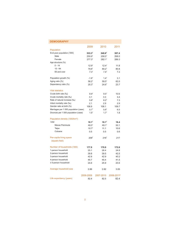<span id="page-5-0"></span>

| <b>DEMOGRAPHY</b>                          |                    |                    |                        |
|--------------------------------------------|--------------------|--------------------|------------------------|
|                                            | 2009               | 2010               | 2011                   |
| Population                                 |                    |                    |                        |
| End-year population ('000)                 | 533.3 <sup>r</sup> | 540.6 <sup>r</sup> | 557.4                  |
| Male                                       | 255.9 <sup>r</sup> | 258.5'             | 268.0                  |
| Female                                     | 277.3 <sup>r</sup> | 282.1 <sup>r</sup> | 289.3                  |
| Age structure (%)                          |                    |                    |                        |
| $0 - 14$                                   | 12.9 <sup>r</sup>  | $12.4^{r}$         | 11.8                   |
| $15 - 64$                                  | 79.8 <sup>r</sup>  | 80.2 <sup>r</sup>  | 80.8                   |
| 65 and over                                | 7.3 <sup>r</sup>   | 7.4 <sup>r</sup>   | 7.3                    |
| Population growth (%)                      | $-1.8r$            | 1.4 <sup>r</sup>   | 3.1                    |
| Aging ratio (%)                            | 56.2 <sup>r</sup>  | $59.5^r$           | 62.0                   |
| Dependency ratio (%)                       | 25.3 <sup>r</sup>  | 24.6 <sup>r</sup>  | 23.7                   |
| <b>Vital statistics</b>                    |                    |                    |                        |
| Crude birth rate (%o)                      | 8.9 <sup>r</sup>   | 9.5 <sup>r</sup>   | 10.6                   |
| Crude mortality rate (%)                   | 3.1                | 3.3                | 3.4                    |
| Rate of natural increase (‰)               | 5.8 <sup>r</sup>   | 6.2 <sup>r</sup>   | 7.3                    |
| Infant mortality rate (%o)                 | 2.1                | 2.9                | 2.9                    |
| Gender ratio at birth (%)                  | 108.9              | 108.1              | 109.7                  |
| Marriages per 1 000 population (case)      | 5.7 <sup>r</sup>   | 5.8 <sup>r</sup>   | 6.5                    |
| Divorces per 1 000 population (case)       | $1.5^r$            | 1.7 <sup>r</sup>   | 1.8                    |
| Population density ('000/km <sup>2</sup> ) |                    |                    |                        |
| Total                                      | 18.1 <sup>r</sup>  | 18.1 <sup>r</sup>  | 18.4                   |
| Macao Peninsula                            | $49.5^r$           | 49.1 <sup>r</sup>  | 50.1                   |
| Taipa                                      | 10.7 <sup>r</sup>  | 11.1               | 10.6                   |
| Coloane                                    | 0.5                | 0.5                | 0.6                    |
| Per-capita living space                    | 209 <sup>r</sup>   | 216 <sup>r</sup>   | 217                    |
| (square feet)                              |                    |                    |                        |
| Number of households ('000)                | 177.9              | 179.9              | 172.6                  |
| 1-person household                         | 25.1               | 26.4               | 24.8                   |
| 2-person household                         | 39.8               | 39.5               | 42.5                   |
| 3-person household                         | 42.8               | 42.9               | 40.2                   |
| 4-person household                         | 45.7               | 45.4               | 41.5                   |
| $\geq$ 5-person household                  | 24.6               | 25.9               | 23.6                   |
| Average household size                     | 2.86               | 2.82               | 3.05                   |
|                                            | 2006-2009          | 2007-2010          | 2008-2011 <sup>P</sup> |
| Life expectancy (years)                    | 82.4               | 82.5               | 82.4                   |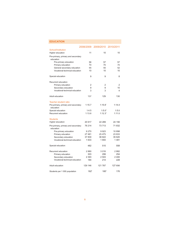<span id="page-6-0"></span>

| <b>EDUCATION</b>                                |                  |                     |         |
|-------------------------------------------------|------------------|---------------------|---------|
|                                                 | 2008/2009        | 2009/2010 2010/2011 |         |
| School/Institution                              |                  |                     |         |
| Higher education                                | 11               | 10                  | 10      |
| Pre-primary, primary and secondary<br>education |                  |                     |         |
| Pre-primary education                           | 56               | 57                  | 57      |
| Primary education                               | 70               | 70                  | 70      |
| General secondary education                     | 55               | 55                  | 52      |
| Vocational-technical education                  | 10               | 10                  | 10      |
| Special education                               | 9                | 9                   | 8       |
| Recurrent education                             |                  |                     |         |
| Primary education                               | 2                | 2                   | 2       |
| Secondary education                             | 9                | 9                   | 10      |
| Vocational-technical education                  | 3                | 3                   | 4       |
| Adult education                                 | 137              | 129                 | 130     |
| <b>Teacher-student ratio</b>                    |                  |                     |         |
| Pre-primary, primary and secondary<br>education | 1:15.7           | $1:15.6^{r}$        | 1:14.4  |
| Special education                               | 1:4.5            | $1:5.0^{r}$         | 1:5.0   |
| Recurrent education                             | 1:13.6           | 1:12.3 <sup>r</sup> | 1:11.0  |
| <b>Students</b>                                 |                  |                     |         |
| Higher education                                | 20 917           | 22 289              | 24 156  |
| Pre-primary, primary and secondary<br>education | 76 214           | 73713               | 71832   |
| Pre-primary education                           | 9 2 7 0          | 9923                | 10898   |
| Primary education                               | 27 481           | 25 4 7 5            | 23 833  |
| Secondary education                             | 37 830           | 36 622              | 35 620  |
| Vocational-technical education                  | 1 633            | 1693                | 1481    |
| Special education                               | 482              | 515                 | 558     |
| Recurrent education                             | 2880             | 3016                | 2882    |
| Primary education                               | 303              | 299                 | 254     |
| Secondary education                             | 2 3 9 3          | 2 503               | 2400    |
| Vocational-technical education                  | 184              | 214                 | 228     |
| Adult education                                 | 129 146          | 121 787             | 127 656 |
| Students per 1 000 population                   | 182 <sup>r</sup> | 180 <sup>r</sup>    | 176     |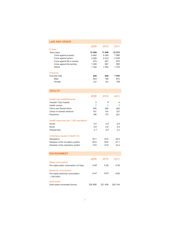<span id="page-7-0"></span>

| <b>LAW AND ORDER</b>                                                                                                                |                                          |                                          |                               |
|-------------------------------------------------------------------------------------------------------------------------------------|------------------------------------------|------------------------------------------|-------------------------------|
| <b>Crimes</b>                                                                                                                       | 2009                                     | 2010                                     | 2011                          |
| Total (case)<br>Crime against property<br>Crime against person<br>Crime against life in society                                     | 12 406<br>6462<br>2 5 0 5<br>675         | 11 649<br>6 0 9 5<br>2472<br>661         | 12 512<br>7080<br>2428<br>670 |
| Crime against the territory<br>Others                                                                                               | 1 000<br>1764                            | 867<br>1 554                             | 955<br>1 379                  |
| <b>Prisoners</b><br>End-year total<br>Male<br>Female                                                                                | 930<br>803<br>127                        | 929<br>788<br>141                        | 1030<br>872<br>158            |
| <b>HEALTH</b>                                                                                                                       |                                          |                                          |                               |
| Health care establishments                                                                                                          | 2009                                     | 2010                                     | 2011                          |
| Hospital / Day hospital<br><b>Health centres</b><br><b>Clinics and Dental clinics</b><br>Clinics of chinese medicine<br>Polyclinics | 3<br>$\overline{7}$<br>345<br>167<br>146 | 4 <sup>r</sup><br>7<br>306<br>153<br>172 | 4<br>7<br>293<br>157<br>201   |
| Health resources (per 1 000 population)<br>Doctor<br>Nurse<br>Hospital bed                                                          | 2.4<br>2.8<br>2.1 <sup>r</sup>           | 2.5 <sup>r</sup><br>2.8<br>$2.2^{r}$     | 2.6<br>2.9<br>2.2             |
| Underlying causes of death (%)<br>Neoplasms<br>Diseases of the circulatory system<br>Diseases of the respiratory system             | 33.1<br>26.5<br>13.6                     | 33.0<br>25.8<br>14.8                     | 30.9<br>27.1<br>15.3          |
| <b>ENVIRONMENT</b>                                                                                                                  |                                          |                                          |                               |
|                                                                                                                                     | 2009                                     | 2010                                     | 2011                          |
| <b>Water consumption</b><br>Per-capita water consumption (m <sup>3</sup> /day)                                                      | 0.40 <sup>r</sup>                        | 0.39                                     | 0.39                          |
| <b>Electricity consumption</b><br>Per-capita electricity consumption<br>('000 kWh)                                                  | 6.47 <sup>r</sup>                        | 6.81 <sup>r</sup>                        | 6.65                          |
| Solid waste<br>Solid waste incinerated (tonne)                                                                                      | 324 808                                  | 321 409                                  | 329 154                       |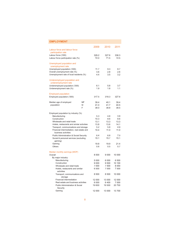<span id="page-8-0"></span>

| <b>EMPLOYMENT</b>                                  |    |         |         |         |
|----------------------------------------------------|----|---------|---------|---------|
|                                                    |    | 2009    | 2010    | 2011    |
| Labour force and labour force                      |    |         |         |         |
| participation rate                                 |    |         |         |         |
| Labour force ('000)                                |    | 329.2   | 327.6   | 3363    |
| Labour force participation rate (%)                |    | 72.0    | 71.5    | 72.5    |
|                                                    |    |         |         |         |
| Unemployed population and                          |    |         |         |         |
| unemployment rate                                  |    |         |         |         |
| Unemployed population ('000)                       |    | 11.7    | 9.3     | 8.7     |
| Overall unemployment rate (%)                      |    | 3.6     | 2.8     | 2.6     |
| Unemployment rate of local residents (%)           |    | 4.4     | 3.5     | 3.2     |
| Underemployed population and                       |    |         |         |         |
| underemployment rate                               |    |         |         |         |
| Underemployed population ('000)                    |    | 6.1     | 5.8     | 3.7     |
| Underemployment rate (%)                           |    | 1.9     | 1.8     | 1.1     |
|                                                    |    |         |         |         |
| <b>Employed population</b>                         |    |         |         |         |
| Employed population ('000)                         |    | 317.5   | 318.3   | 327.6   |
|                                                    |    |         |         |         |
| Median age of employed                             | ΜF | 39.4    | 40.1    | 39.4    |
| population                                         | M  | 41.0    | 41.7    | 40.5    |
|                                                    | F  | 38.0    | 38.8    | 38.5    |
| Employed population by industry (%)                |    |         |         |         |
| Manufacturing                                      |    | 5.3     | 4.8     | 3.9     |
| Construction                                       |    | 10.3    | 8.6     | 8.6     |
| Wholesale and retail trade                         |    | 13.1    | 13.3    | 13.3    |
| Hotels, restaurants and similar activities         |    | 13.8    | 13.6    | 14.1    |
| Transport, communications and storage              |    | 5.2     | 5.8     | 4.9     |
| Financial intermediation, real estate and          |    | 10.4    | 11.0    | 11.0    |
| business activities                                |    |         |         |         |
| <b>Public Administration &amp; Social Security</b> |    | 6.4     | 6.8     | 7.0     |
| Social & personal services (excluding              |    | 15.1    | 15.7    | 15.1    |
| gaming)                                            |    |         |         |         |
| Gaming                                             |    | 19.8    | 19.9    | 21.4    |
| Others                                             |    | 0.6     | 0.5     | 0.7     |
| Median monthly earnings (MOP)                      |    |         |         |         |
| Overall                                            |    | 8 500   | 9 0 0 0 | 10 000  |
| By major industry:                                 |    |         |         |         |
| Manufacturing                                      |    | 5 0 0 0 | 6000    | 6 500   |
| Construction                                       |    | 9 0 0 0 | 9500    | 10 100  |
| Wholesale and retail trade                         |    | 7 000   | 7 500   | 8 0 0 0 |
| Hotels, restaurants and similar                    |    | 6 500   | 7 000   | 7 500   |
| activities                                         |    |         |         |         |
| Transport, communications and                      |    | 8 500   | 8 500   | 10 000  |
| storage                                            |    |         |         |         |
| Financial intermediation                           |    | 12 000  | 13 000  | 12 000  |
| Real estate and business activities                |    | 6 0 0 0 | 6 400   | 7 000   |
| <b>Public Administration &amp; Social</b>          |    | 19 600  | 19 500  | 20 700  |
| Security                                           |    |         |         |         |
| Gaming                                             |    | 12 000  | 13 000  | 13 700  |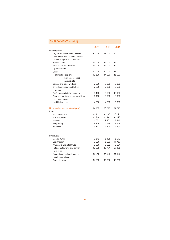# **EMPLOYMENT (cont'd)**

|                                      | 2009   | 2010    | 2011    |
|--------------------------------------|--------|---------|---------|
| By occupation:                       |        |         |         |
| Legislators, government officials,   | 20 000 | 22 500  | 26 000  |
| leaders of associations, directors   |        |         |         |
| and managers of companies            |        |         |         |
| Professionals                        | 23 000 | 22 000  | 24 000  |
| Technicians and associate            | 15 000 | 15 000  | 15 000  |
| professionals                        |        |         |         |
| Clerks                               | 12 000 | 12 000  | 13 000  |
| of which: croupiers,                 | 13 500 | 14 000  | 15 000  |
| floorpersons, cage                   |        |         |         |
| cashiers, etc.                       |        |         |         |
| Service and sales workers            | 7 000  | 7 000   | 8 000   |
| Skilled agricultural and fishery     | 7 000  | 7 000   | 7 500   |
| workers                              |        |         |         |
| Craftsmen and similar workers        | 9 100  | 9 500   | 10 000  |
| Plant and machine operators, drivers | 6400   | 8 0 0 0 | 9 0 0 0 |
| and assemblers                       |        |         |         |
| <b>Unskilled workers</b>             | 4 500  | 4 500   | 5 0 0 0 |
| Non-resident workers (end-year)      | 74 905 | 75813   | 94 028  |
| From:                                |        |         |         |
| <b>Mainland China</b>                | 41 461 | 41 895  | 55 373  |
| The Philippines                      | 10788  | 11 4 23 | 13 375  |
| Vietnam                              | 6 5 62 | 7462    | 8 116   |
| Hong Kong                            | 5826   | 4915    | 5945    |
| Indonesia                            | 3793   | 4 199   | 4 2 9 3 |
| By industry                          |        |         |         |
| Manufacturing                        | 6512   | 5498    | 5079    |
| Construction                         | 7820   | 5 0 0 9 | 11 757  |
| Wholesale and retail trade           | 6 696  | 6922    | 9531    |
| Hotels, restaurants and similar      | 16 099 | 16771   | 27 105  |
| activities                           |        |         |         |
| Recreational, cultural, gaming       | 10 016 | 11 998  | 11 396  |
| & other services                     |        |         |         |
| Domestic work                        | 14 299 | 15802   | 16 256  |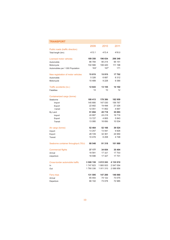<span id="page-10-0"></span>

| <b>TRANSPORT</b>                                      |                  |                  |           |
|-------------------------------------------------------|------------------|------------------|-----------|
|                                                       | 2009             | 2010             | 2011      |
| Public roads (traffic direction)<br>Total length (km) | 413.1            | 413.4            | 416.0     |
| Licensed motor vehicles                               | 189 350          | 196 634          | 206 349   |
| Automobile                                            | 86 784           | 90 214           | 95 151    |
| Motorcycle                                            | 102 566          | 106 420          | 111 198   |
| Automobiles per 1 000 Population                      | 163 <sup>r</sup> | 167 <sup>r</sup> | 171       |
| New registration of motor vehicles                    | 15815            | 15915            | 17702     |
| Automobile                                            | 5 3 2 6          | 6687             | 8 3 1 2   |
| Motorcycle                                            | 10 489           | 9 2 2 8          | 9 3 9 0   |
| Traffic accidents (no.)                               | 12 643           | 13 155           | 14 102    |
| <b>Fatalities</b>                                     | 14               | 10               | 12        |
| Containerized cargo (tonne)                           |                  |                  |           |
| Seaborne                                              | 180 413          | 178 380          | 182959    |
| Import                                                | 145 680          | 147 030          | 156 767   |
| Export                                                | 22 682           | 19 4 98          | 21 526    |
| <b>Transit</b>                                        | 12 051           | 11 852           | 4 6 67    |
| By Land                                               | 51 694           | 45718            | 35 093    |
| Import                                                | 24 887           | 24 218           | 18716     |
| Export                                                | 13727            | 4805             | 5843      |
| Transit                                               | 13 080           | 16 695           | 10 534    |
| Air cargo (tonne)                                     | 52 464           | 52 166           | 39 524    |
| Import                                                | 13 257           | 13 597           | 9826      |
| Export                                                | 28 7 29          | 32 361           | 24 950    |
| Transit                                               | 10 478           | 6 208            | 4748      |
| Seaborne container throughput (TEU)                   | 88 548           | 91 318           | 101 989   |
| <b>Commercial flights</b>                             | 37 177           | 34 654           | 35 404    |
| Arrival                                               | 18 581           | 17 327           | 17 703    |
| Departure                                             | 18 596           | 17 327           | 17 701    |
| Cross-border automobile traffic                       | 3 508 159        | 3 812 243        | 4 135 910 |
| In                                                    | 1747823          | 1900933          | 2 047 054 |
| Out                                                   | 1760336          | 1911310          | 2 088 856 |
| <b>Ferry trips</b>                                    | 131 595          | 147 200          | 146 060   |
| Arrival                                               | 65 493           | 74 122           | 73 075    |
| Departure                                             | 66 102           | 73 078           | 72 985    |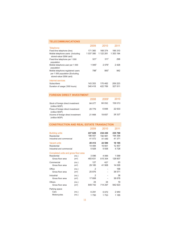# <span id="page-11-0"></span>**TELECOMMUNICATIONS**

|                                                                                                | 2009               | 2010              | 2011      |
|------------------------------------------------------------------------------------------------|--------------------|-------------------|-----------|
| <b>Telephone</b>                                                                               |                    |                   |           |
| Fixed-line telephone (line)                                                                    | 171 360            | 168 374           | 166 310   |
| Mobile telephone users (Including<br>stored-value GSM card)                                    | 1 037 380          | 1 122 261         | 1 353 194 |
| Fixed-line telephone per 1 000<br>population                                                   | 321 <sup>r</sup>   | 311 <sup>r</sup>  | 298       |
| Mobile telephone user per 1 000<br>population                                                  | 1 945 <sup>r</sup> | 2076 <sup>r</sup> | 2428      |
| Mobile telephone registered users<br>per 1 000 population (Excluding<br>stored-value GSM card) | 788 <sup>r</sup>   | 850 <sup>r</sup>  | 942       |
| Internet services                                                                              |                    |                   |           |
| Subscribers                                                                                    | 143 353            | 170 462           | 209 223   |
| Duration of usage ('000 hours)                                                                 | 340 418            | 422 769           | 527 611   |

#### **FOREIGN DIRECT INVESTMENT**

|                                                      | 2008   | 2009 <sup>r</sup> | 2010    |
|------------------------------------------------------|--------|-------------------|---------|
| Stock of foreign direct investment<br>(million MOP)  | 84 077 | 84 052            | 109 013 |
| Flows of foreign direct investment<br>(million MOP)  | 20 779 | 6848              | 22 633  |
| Income of foreign direct investment<br>(million MOP) | 21 668 | 19657             | 28 327  |

#### **CONSTRUCTION AND REAL ESTATE TRANSACTION**

|                                                                         |                            | 2009               | 2010               | 2011               |
|-------------------------------------------------------------------------|----------------------------|--------------------|--------------------|--------------------|
| <b>Building units</b>                                                   |                            | 227 629            | 234 430            | 235 769            |
| Residential                                                             |                            | 186 557            | 192 981            | 194 398            |
| Industrial and commercial                                               |                            | 41 072             | 41 449             | 41 371             |
| <b>Vacant units</b>                                                     |                            | 20 412             | 22 599             | 18 185             |
| Residential                                                             |                            | 14 4 8 4           | 16 661             | 12 457             |
| Industrial and commercial                                               |                            | 5928               | 5938               | 5728               |
| Completed units and gross floor area<br>Residential<br>Gross floor area | (no.)<br>(m <sup>2</sup> ) | 3 0 9 6<br>483 631 | 4 0 6 6<br>515 304 | 1 0 9 9<br>128 607 |
| Commercial                                                              | (no.)                      | 127                | 427                | 63                 |
| Gross floor area                                                        | (m <sup>2</sup> )          | 29 185             | 41 908             | 14 0 26            |
| Office                                                                  | (no.)                      | 2                  |                    | 168                |
| Gross floor area                                                        | (m <sup>2</sup> )          | 25 876             |                    | 38 571             |
| Industrial                                                              | (no.)                      | 2                  |                    | 38                 |
| Gross floor area                                                        | (m <sup>2</sup> )          | 17808              |                    | 38 678             |
| Others                                                                  | (no.)                      | 24                 | 34                 | 19                 |
| Gross floor area                                                        | (m <sup>2</sup> )          | 849 742            | 714 297            | 942 623            |
| Parking space<br>Cars                                                   | (no.)                      | 6 2 9 1            | 5072               | 2940               |
| Motorcycles                                                             | (no.)                      | 1750               | 1753               | 1 1 8 5            |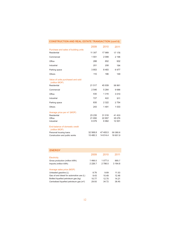<span id="page-12-0"></span>

| <b>CONSTRUCTION AND REAL ESTATE TRANSACTION (cont'd)</b>                                                   |                          |                          |                            |
|------------------------------------------------------------------------------------------------------------|--------------------------|--------------------------|----------------------------|
|                                                                                                            | 2009                     | 2010                     | 2011                       |
| Purchase and sales of building units<br>Residential                                                        | 11 307                   | 17 989                   | 17 176                     |
| Commercial                                                                                                 | 1 551                    | 2099                     | 2 196                      |
| Office                                                                                                     | 288                      | 652                      | 932                        |
| Industrial                                                                                                 | 201                      | 208                      | 194                        |
| Parking space                                                                                              | 3853                     | 8483                     | 6977                       |
| Others                                                                                                     | 110                      | 186                      | 149                        |
| Value of units purchased and sold<br>(million MOP)                                                         |                          |                          |                            |
| Residential                                                                                                | 21 517                   | 45 939                   | 58 861                     |
| Commercial                                                                                                 | 2 546                    | 5 2 6 4                  | 9686                       |
| Office                                                                                                     | 430                      | 1 3 1 6                  | 3 0 1 0                    |
| Industrial                                                                                                 | 727                      | 422                      | 911                        |
| Parking space                                                                                              | 835                      | 2 3 2 2                  | 2754                       |
| Others                                                                                                     | 243                      | 1491                     | 1 0 3 3                    |
| Average price per m <sup>2</sup> (MOP)<br>Residential<br>Office<br>Industrial                              | 23 235<br>21 650<br>6079 | 31 016<br>22 857<br>6962 | 41 433<br>35 076<br>12 001 |
| End-balance of domestic credit<br>(million MOP)<br>Personal housing loans<br>Construction and public works | 32 568.8<br>15 480.3     | 47 405.5<br>14 614.4     | 59 380.6<br>18 651.9       |

| <b>ENERGY</b>                                         |           |         |         |
|-------------------------------------------------------|-----------|---------|---------|
|                                                       | 2009      | 2010    | 2011    |
| Electricity                                           |           |         |         |
| Gross production (million kWh)                        | 1466.0    | 1 077.0 | 885.7   |
| Imports (million kWh)                                 | 2 2 2 6.7 | 2 786.5 | 3 164.8 |
|                                                       |           |         |         |
| Average sales price (MOP)                             |           |         |         |
| Unleaded gasoline (L)                                 | 8.76      | 9.69    | 11.53   |
| Gas oil and diesel for automotive use (L)             | 9.43      | 10.49   | 12.46   |
| Bottled liquefied petroleum gas (kg)                  | 10.77     | 12.70   | 14.21   |
| Centralised liquefied petroleum gas (m <sup>3</sup> ) | 29.93     | 34.72   | 38.45   |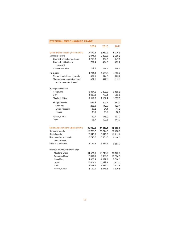| AL MERCHANDISE I KADE                                    |             |             |             |
|----------------------------------------------------------|-------------|-------------|-------------|
|                                                          | 2009        | 2010        | 2011        |
| Merchandise exports (million MOP)                        | 7672.5      | 6960.0      | 6970.9      |
| Domestic exports                                         | 2971.1      | 2 3 8 9 8   | 2 3 9 0 . 2 |
| Garment, knitted or crocheted                            | 1 2 1 9.6   | 694.5       | 447.6       |
| Garment, not knitted or<br>crocheted                     | 751.4       | 474.5       | 452.2       |
| Tobacco and wine                                         | 252.2       | 277.7       | 468.4       |
| Re-exports                                               | 4 701.4     | 4 570.2     | 4 580.7     |
| Diamond and diamond jewellery                            | 531.1       | 614.3       | 225.2       |
| Machines and apparatus, parts<br>and accessories thereof | 622.6       | 442.0       | 619.5       |
| By major destination                                     |             |             |             |
| Hong Kong                                                | 3 0 1 4 .6  | 3 002.6     | 3 108.9     |
| <b>USA</b>                                               | 1 308.3     | 782.1       | 555.8       |
| <b>Mainland China</b>                                    | 1 117.5     | 1 102.4     | 1 0 9 7 9   |
| European Union                                           | 631.3       | 409.4       | 383.3       |
| Germany                                                  | 295.8       | 142.6       | 122.1       |
| United Kingdom                                           | 103.2       | 64.4        | 47.2        |
| France                                                   | 88.1        | 71.9        | 88.0        |
| Taiwan, China                                            | 160.7       | 175.9       | 103.0       |
| Japan                                                    | 105.7       | 109.5       | 144.0       |
| Merchandise imports (million MOP)                        | 36 902.0    | 44 118.4    | 62 288.9    |
| Consumer goods                                           | 19 788.7    | 26 244.7    | 38 480.8    |
| Capital goods                                            | 6645.9      | 6948.9      | 10 919.9    |
| Raw materials and semi-<br>manufactures                  | 5745.7      | 5661.6      | 6 304.5     |
| <b>Fuels and lubricants</b>                              | 4 7 2 1 . 6 | 5 2 6 3 . 2 | 6 583.7     |
| By major country/territory of origin                     |             |             |             |
| Mainland China                                           | 11 571.1    | 13 7 18.3   | 19 120.9    |
| European Union                                           | 7814.9      | 9 9 60.7    | 15 506.5    |
| Hong Kong                                                | 4 0 3 6.4   | 4 627.9     | 7 588.3     |
| Japan                                                    | 3 0 3 9 . 3 | 3812.1      | 3 911.2     |
| USA                                                      | 2 2 1 7 . 1 | 2619.0      | 3731.8      |
| Taiwan, China                                            | 1 1 2 0.9   | 1 078.3     | 1 3 2 9 .5  |

# <span id="page-13-0"></span>**EXTERNAL MERCHANDISE TRADE**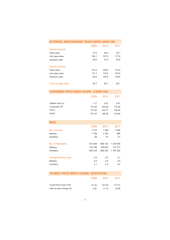<span id="page-14-0"></span>

| <b>EXTERNAL MERCHANDISE TRADE INDEX (2006=100)</b> |         |         |           |
|----------------------------------------------------|---------|---------|-----------|
|                                                    | 2009    | 2010    | 2011      |
| <b>Exports of goods</b>                            |         |         |           |
| Value index                                        | 37.5    | 34.0    | 34.1      |
| Unit value index                                   | 104.1   | 107.5   | 117.6     |
| Quantum index                                      | 36.0    | 31.6    | 29.0      |
| Imports of goods                                   |         |         |           |
| Value index                                        | 101.0   | 120.8   | 170.5     |
| Unit value index                                   | 111.1   | 115.5   | 124.9     |
| Quantum index                                      | 90.9    | 104.6   | 136.5     |
| Terms of trade index                               | 93.7    | 93.1    | 94.1      |
| <b>CONSUMER PRICE INDEX (4/2008 - 3/2009=100)</b>  |         |         |           |
|                                                    | 2009    | 2010    | 2011      |
|                                                    |         |         |           |
| Inflation rate (%)                                 | 1.17    | 2.81    | 5.81      |
| Composite CPI                                      | 101.40  | 104.25  | 110.30    |
| CPI-A                                              | 101.45  | 103.77  | 109.49    |
| CPI-B                                              | 101.37  | 104.38  | 110.63    |
| <b>MICE</b>                                        |         |         |           |
|                                                    | 2009    | 2010    | 2011      |
| No. of Events                                      | 1 2 1 5 | 1 3 9 9 | 1 0 4 5   |
| Meeting                                            | 1 1 5 9 | 1 342   | 994       |
| <b>Exhibition</b>                                  | 56      | 57      | 51        |
| No. of Participants                                | 572 684 | 806 135 | 1 278 054 |
| Meeting                                            | 118 169 | 149 832 | 110 771   |
| Exhibition                                         | 454 515 | 656 303 | 1 167 283 |
| <b>Average Duration (day)</b>                      | 2.0     | 2.5     | 2.1       |
| Meeting                                            | 2.0     | 2.4     | 2.0       |
| Exhibition                                         | 3.1     | 4.3     | 3.5       |
| TOURIST PRICE INDEX (10/2009 - 09/2010=100)        |         |         |           |
|                                                    |         |         |           |
|                                                    | 2009    | 2010    | 2011      |
| Tourist Price Index (TPI)                          | 91.35   | 101.52  | 117.21    |
| Year-on-year change (%)                            | 3.81    | 11.13   | 15.46     |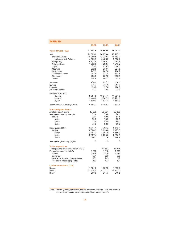<span id="page-15-0"></span>

| TOURISM                                                                                                                                                                                 |                                                                                                            |                                                                                                            |                                                                                                               |
|-----------------------------------------------------------------------------------------------------------------------------------------------------------------------------------------|------------------------------------------------------------------------------------------------------------|------------------------------------------------------------------------------------------------------------|---------------------------------------------------------------------------------------------------------------|
|                                                                                                                                                                                         | 2009                                                                                                       | 2010                                                                                                       | 2011                                                                                                          |
| Visitor arrivals ('000)                                                                                                                                                                 | 21 752.8                                                                                                   | 24 965.4                                                                                                   | 28 002.3                                                                                                      |
| Asia<br><b>Mainland China</b><br>Individual Visit Scheme<br>Hong Kong<br>Taiwan, China<br>Japan<br>Malaysia<br>Philippines<br>Republic of Korea<br>Singapore<br><b>Others</b>           | 21 085.0<br>10 989.5<br>4 809.9<br>6727.8<br>1 292.6<br>379.2<br>332.5<br>247.5<br>204.8<br>256.5<br>654.6 | 24 273.4<br>13 229.1<br>5486.2<br>7 466.1<br>1 292.7<br>413.5<br>338.1<br>247.8<br>331.8<br>257.2<br>697.2 | 27 287.1<br>16 162.7<br>6588.7<br>7582.9<br>1 2 1 5 . 2<br>396.0<br>324.5<br>268.7<br>398.8<br>280.6<br>657.6 |
| Americas<br>Europe<br>Oceania<br>Africa and others                                                                                                                                      | 278.7<br>235.7<br>135.2<br>18.2                                                                            | 297.1<br>244.5<br>127.6<br>22.8                                                                            | 310.6<br>251.7<br>128.0<br>24.9                                                                               |
| Mode of transport:<br>By sea<br>By land<br>By air                                                                                                                                       | 8 6 8 4 . 8<br>11 448.8<br>1 6 1 9.1                                                                       | 10 244.1<br>13 087.3<br>1634.1                                                                             | 11 021.0<br>15 299.6<br>1681.7                                                                                |
| Visitor arrivals in package tours                                                                                                                                                       | 4 648.2                                                                                                    | 5745.2                                                                                                     | 7 307.4                                                                                                       |
| Hotel and guest-house<br>Available guest rooms<br>Average occupancy rate (%)<br><b>Hotels</b><br>5-star<br>4-star<br>3-star                                                             | 19 25 9<br>71.4<br>72.1<br>70.5<br>77.5<br>75.9                                                            | 20 091<br>79.8<br>80.5<br>79.2<br>83.8<br>82.5                                                             | 22 356<br>84.1<br>84.8<br>83.5<br>89.2<br>86.0                                                                |
| Hotel guests ('000)<br><b>Hotels</b><br>5-star<br>4-star<br>3-star                                                                                                                      | 6 7 1 4.4<br>6 608.5<br>3 167.3<br>2 0 8 7 . 4<br>1 0 5 6.7                                                | 7755.2<br>7 633.0<br>3 901.0<br>2 2 2 9 . 6<br>1 1 2 1 .6                                                  | 8 6 1 2.1<br>8 477.5<br>4 550.9<br>2 350.8<br>1 160.9                                                         |
| Average length of stay (night)                                                                                                                                                          | 1.5                                                                                                        | 1.5                                                                                                        | 1.5                                                                                                           |
| Visitor expenditure<br>Total spending of visitors (million MOP)<br>Per-capita spending (MOP)<br>Tourist<br>Same-Day<br>Per-capita non-shopping spending<br>Per-capita shopping spending | 1616<br>2 3 2 8<br>601<br>983<br>633                                                                       | 37892<br>1518<br>2 5 2 9<br>593<br>745<br>773                                                              | 45 328<br>1619<br>2 7 7 7<br>626<br>817<br>801                                                                |
| Outbound residents ('000)<br>By sea<br>By land<br>By air                                                                                                                                | 1 161.6<br>23 634.5<br>200.9                                                                               | 1 302.3<br>24 121.1<br>215.3                                                                               | 1 392.6<br>24 752.0<br>210.5                                                                                  |

Note: Visitor spending excludes gaming expenses. Data on 2010 and after are extrapolated results, while data on 2009 are sample results.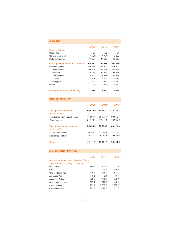### <span id="page-16-0"></span>**GAMING**

|                                    | 2009    | 2010    | 2011    |
|------------------------------------|---------|---------|---------|
| Game of chance                     |         |         |         |
| Casino (no.)                       | 33      | 33      | 34      |
| Gaming table (no.)                 | 4 7 7 0 | 4 7 9 1 | 5 3 0 2 |
| Slot machine (no.)                 | 14 363  | 14 050  | 16 056  |
| Gross gaming revenue (million MOP) | 120 383 | 189 588 | 269 058 |
| Game of chance                     | 119 369 | 188 343 | 267 867 |
| <b>VIP Baccarat</b>                | 79 834  | 135 648 | 196 126 |
| <b>Baccarat</b>                    | 25 4 98 | 34 917  | 48 669  |
| Slot machine                       | 6 503   | 8618    | 11 425  |
| Cussec                             | 2826    | 3555    | 4 7 7 4 |
| Blackjack                          | 1 903   | 2 2 9 0 | 2712    |
| Others                             | 1014    | 1 245   | 1 192   |
| Betting on parimutuel and lottery  | 7 999   | 9963    | 9 5 9 0 |

### **PUBLIC FINANCE**

| <b>Balance</b>                                  | 34 411.0 | 50 094.1          | 63 744.8  |
|-------------------------------------------------|----------|-------------------|-----------|
| Capital expenditure                             | 5 111.7  | 6 007.5           | 10 635.5  |
| (million MOP)<br>Current expenditure            | 30 348.2 | 32 386.4          | 38 341 1  |
| Total government expenditure                    | 35 459.9 | 38 393.9          | 48 976.6  |
| Other revenue                                   | 24 173 4 | 19 711.9          | 13 065.0  |
| (million MOP)<br>Tax revenue from gaming sector | 45 697 5 | 68 776.1          | 99 656.4  |
| Total government revenue                        | 69 870.9 | 88 488.1          | 112 721.4 |
|                                                 | 2009     | 2010 <sup>r</sup> | 2011P     |

#### **MONEY AND FINANCE**

|                                        | 2009    | 2010      | 2011      |
|----------------------------------------|---------|-----------|-----------|
| Average exchange rates of Macao Pataca |         |           |           |
| (per 100 units of foreign currency)    |         |           |           |
| U.S. Dollar                            | 798.4   | 800.2     | 801.9     |
| Euro                                   | 1 113.1 | 1 060.9   | 1 116.9   |
| Chinese Renminbi                       | 116.9   | 118.2     | 123.9     |
| Japanese Yen                           | 8.5     | 9.1       | 10.1      |
| Australian Dollar                      | 632.7   | 735.6     | 828.1     |
| New Zealand Dollar                     | 507.2   | 577.2     | 635.0     |
| Pound Sterling                         | 1 251.6 | 1 2 3 6 5 | 1 2 8 6.1 |
| Canadian Dollar                        | 702.7   | 776.8     | 811.6     |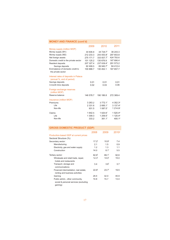# <span id="page-17-0"></span>**MONEY AND FINANCE (cont'd)**

|                                       | 2009        | 2010                   | 2011                 |
|---------------------------------------|-------------|------------------------|----------------------|
| Money supply (million MOP)            |             |                        |                      |
| Money supply (M1)                     | 30 606.8    | 34 729.7 <sup>r</sup>  | 36 243.3             |
| Money supply (M2)                     | 212 233.3   | 243 053.8 <sup>r</sup> | 297 653.8            |
| Net foreign assets                    | 275 171.7   | 333 837.7 <sup>r</sup> | 424 783.6            |
| Domestic credit to the private sector | 101 125.2   | 130 676.9              | 167 890.4            |
| Resident deposits                     | 207 327.4   | 237 639.4 <sup>r</sup> | 291 573.2            |
| Savings deposits                      | 82 499.5    | 89 940.7 <sup>r</sup>  | 84 412.4             |
| End-balance of domestic credit to     | 100 888.7   | 130 452.1              | 167 657.7            |
| the private sector                    |             |                        |                      |
| Interest rates of deposits in Pataca  |             |                        |                      |
| (annual %, end of period)             |             |                        |                      |
| Savings deposits                      | 0.01        | 0.01                   | 0.01                 |
| 3-month time deposits                 | 0.02        | 0.03                   | 0.06                 |
|                                       |             |                        |                      |
| Foreign exchange reserves             |             |                        |                      |
| (million MOP)<br>Reserve balance      |             |                        | 272 369.4            |
|                                       | 146 578.7   | 190 186.8              |                      |
| Insurance (million MOP)               |             |                        |                      |
| Premiums:                             | 3 2 6 3 . 2 | 3 772.1                | 4 352.3 <sup>p</sup> |
| l ife                                 | 2 3 3 1 .6  | 2685.1 <sup>r</sup>    | 3 137.4 <sup>p</sup> |
| Non-life                              | 931.5       | 1 087.0 <sup>r</sup>   | 1 214.9 <sup>p</sup> |
| Claims:                               | 1 642.5     | 1620.6 <sup>r</sup>    | 1520.4P              |
| Life                                  | 1 309.3     | $1259.5$ <sup>r</sup>  | 1 120.4 <sup>p</sup> |
| Non-life                              | 333.2       | 361.1 <sup>r</sup>     | 400.1 <sup>p</sup>   |
|                                       |             |                        |                      |

# **GROSS DOMESTIC PRODUCT (GDP)**

|                                                                                     | 2008              | 2009              | 2010P |
|-------------------------------------------------------------------------------------|-------------------|-------------------|-------|
| Production-based GDP at current prices                                              |                   |                   |       |
| Sectoral Structure (%)                                                              |                   |                   |       |
| Secondary sector:                                                                   | 17.2 <sup>r</sup> | 10.9 <sup>r</sup> | 74    |
| Manufacturing                                                                       | 21                | 1.5               | 0.9   |
| Electricity, gas and water supply                                                   | 1.2               | 1.3               | 11    |
| Construction                                                                        | 14.0              | 8.1 <sup>r</sup>  | 5.5   |
| Tertiary sector:                                                                    | 82.8 <sup>r</sup> | 89 1              | 92.6  |
| Wholesale and retail trade, repair,<br>hotels and restaurants                       | 12.3 <sup>r</sup> | 14.0 <sup>r</sup> | 15.0  |
| Transport, storage and<br>communications                                            | 3.4               | 3.6 <sup>r</sup>  | 3.7   |
| Financial intermediation, real estate,<br>renting and business activities           | 22.8 <sup>r</sup> | 23.7 <sup>r</sup> | 19.5  |
| Gaming                                                                              | 294               | 32 O              | 40.9  |
| Public admin., other community,<br>social & personal services (excluding<br>gaming) | 14.8              | 157               | 13.4  |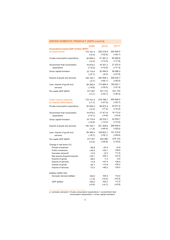| <b>GROSS DOMESTIC PRODUCT (GDP) (cont'd)</b>                                                                                                                                                                               |                                                                                     |                                                                                    |                                                                                    |
|----------------------------------------------------------------------------------------------------------------------------------------------------------------------------------------------------------------------------|-------------------------------------------------------------------------------------|------------------------------------------------------------------------------------|------------------------------------------------------------------------------------|
| <b>Expenditure-based GDP (million MOP)</b>                                                                                                                                                                                 | 2009 <sup>r</sup>                                                                   | 2010 <sup>r</sup>                                                                  | 2011 <sup>P</sup>                                                                  |
| at current prices                                                                                                                                                                                                          | 170 161.4                                                                           | 226 218.8                                                                          | 292 090.5                                                                          |
|                                                                                                                                                                                                                            | $(+2.4)$                                                                            | $(+32.9)$                                                                          | $(+29.1)$                                                                          |
| Private consumption expenditure                                                                                                                                                                                            | 45 565.5                                                                            | 51 281.0                                                                           | 60 460.8                                                                           |
|                                                                                                                                                                                                                            | $(+4.3)$                                                                            | $(+12.5)$                                                                          | $(+17.9)$                                                                          |
| Government final consumption                                                                                                                                                                                               | 16 679.3                                                                            | 18 351.2                                                                           | 21 531.9                                                                           |
| expenditure                                                                                                                                                                                                                | $(+12.5)$                                                                           | $(+10.0)$                                                                          | $(+17.3)$                                                                          |
| Gross capital formation                                                                                                                                                                                                    | 32 119.4                                                                            | 30 094.9                                                                           | 38 486.2                                                                           |
|                                                                                                                                                                                                                            | $(-37.7)$                                                                           | $(-6.3)$                                                                           | $(+27.9)$                                                                          |
| Exports of goods and services                                                                                                                                                                                              | 160 192.7                                                                           | 240 458.2                                                                          | 328 202.7                                                                          |
|                                                                                                                                                                                                                            | $(-0.7)$                                                                            | $(+50.1)$                                                                          | $(+36.5)$                                                                          |
| Less: Imports of goods and                                                                                                                                                                                                 | 84 395.4                                                                            | 113 966.4                                                                          | 156 591.1                                                                          |
| services                                                                                                                                                                                                                   | $(-19.8)$                                                                           | $(+35.0)$                                                                          | $(+37.4)$                                                                          |
| Per-capita GDP (MOP)                                                                                                                                                                                                       | 317 557                                                                             | 421 312                                                                            | 531723                                                                             |
|                                                                                                                                                                                                                            | $(+3.1)$                                                                            | $(+32.7)$                                                                          | $(+26.2)$                                                                          |
| Chain volume measures                                                                                                                                                                                                      | 170 161.4                                                                           | 216 166.1                                                                          | 260 999.0                                                                          |
| (in chained 2009 dollars)                                                                                                                                                                                                  | $(+1.7)$                                                                            | $(+27.0)$                                                                          | $(+20.7)$                                                                          |
| Private consumption expenditure                                                                                                                                                                                            | 45 565.5                                                                            | 48 972.4                                                                           | 53 971.6                                                                           |
|                                                                                                                                                                                                                            | $(+2.4)$                                                                            | $(+7.5)$                                                                           | $(+10.2)$                                                                          |
| Government final consumption                                                                                                                                                                                               | 16 679.3                                                                            | 17 471.6                                                                           | 19 112.8                                                                           |
| expenditure                                                                                                                                                                                                                | $(+13.1)$                                                                           | $(+4.8)$                                                                           | $(+9.4)$                                                                           |
| Gross capital formation                                                                                                                                                                                                    | 32 119.4                                                                            | 28 216.7                                                                           | 32 555.7                                                                           |
|                                                                                                                                                                                                                            | $(-33.6)$                                                                           | $(-12.2)$                                                                          | $(+15.4)$                                                                          |
| Exports of goods and services                                                                                                                                                                                              | 160 192.7                                                                           | 231 328.6                                                                          | 296 659.4                                                                          |
|                                                                                                                                                                                                                            | $(-1.5)$                                                                            | $(+44.4)$                                                                          | $(+28.2)$                                                                          |
| Less: Imports of goods and                                                                                                                                                                                                 | 84 395.4                                                                            | 109 823.1                                                                          | 141 216.6                                                                          |
| services                                                                                                                                                                                                                   | $(-18.7)$                                                                           | $(+30.1)$                                                                          | $(+28.6)$                                                                          |
| Per-capita GDP (MOP)                                                                                                                                                                                                       | 317 557                                                                             | 402 590                                                                            | 475 123                                                                            |
|                                                                                                                                                                                                                            | $(+2.5)$                                                                            | $(+26.8)$                                                                          | $(+18.0)$                                                                          |
| Change in real terms (%)<br>Private investment<br>Public investment<br>Domestic demand <sup>a</sup><br>Net exports (Exports-Imports)<br>Exports of goods<br>Exports of services<br>Imports of goods<br>Imports of services | $-36.8$<br>$+34.4$<br>$-13.0$<br>$+30.7$<br>$-48.2$<br>$+3.9$<br>$-24.1$<br>$-12.3$ | $-22.4$<br>$+24.1$<br>$+0.3$<br>$+60.3$<br>$-7.3$<br>$+47.4$<br>$+14.9$<br>$+46.2$ | $+4.9$<br>$+58.9$<br>$+11.6$<br>$+27.9$<br>$-2.9$<br>$+29.4$<br>$+26.2$<br>$+30.5$ |
| Deflator (2009=100)<br>Domestic demand deflator<br>GDP deflator                                                                                                                                                            | 100.0<br>$(-1.5)$<br>100.0<br>$(+0.6)$                                              | 105.4<br>$(+5.4)$<br>104.7<br>$(+4.7)$                                             | 114.0<br>$(+8.2)$<br>111.9<br>$(+6.9)$                                             |

a Domestic demand= Private consumption expenditure + Government final consumption expenditure + Gross capital formation